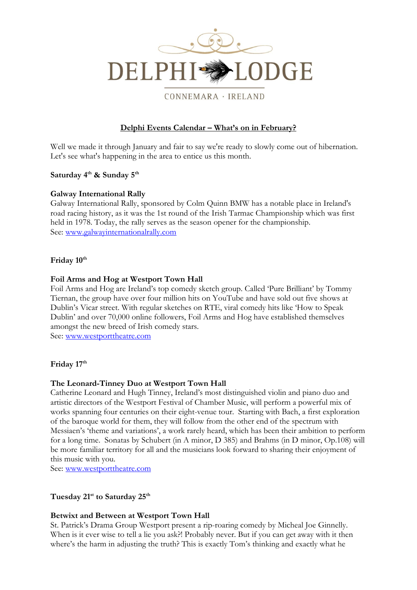

### CONNEMARA · IRELAND

# **Delphi Events Calendar – What's on in February?**

Well we made it through January and fair to say we're ready to slowly come out of hibernation. Let's see what's happening in the area to entice us this month.

## **Saturday 4 th & Sunday 5th**

### **Galway International Rally**

Galway International Rally, sponsored by Colm Quinn BMW has a notable place in Ireland's road racing history, as it was the 1st round of the Irish Tarmac Championship which was first held in 1978. Today, the rally serves as the season opener for the championship. See: [www.galwayinternationalrally.com](http://www.galwayinternationalrally.com/)

# **Friday 10 th**

### **Foil Arms and Hog at Westport Town Hall**

Foil Arms and Hog are Ireland's top comedy sketch group. Called 'Pure Brilliant' by Tommy Tiernan, the group have over four million hits on YouTube and have sold out five shows at Dublin's Vicar street. With regular sketches on RTE, viral comedy hits like 'How to Speak Dublin' and over 70,000 online followers, Foil Arms and Hog have established themselves amongst the new breed of Irish comedy stars.

See: [www.westporttheatre.com](http://www.westporttheatre.com/)

## **Friday 17 th**

## **The Leonard-Tinney Duo at Westport Town Hall**

Catherine Leonard and Hugh Tinney, Ireland's most distinguished violin and piano duo and artistic directors of the Westport Festival of Chamber Music, will perform a powerful mix of works spanning four centuries on their eight-venue tour. Starting with Bach, a first exploration of the baroque world for them, they will follow from the other end of the spectrum with Messiaen's 'theme and variations', a work rarely heard, which has been their ambition to perform for a long time. Sonatas by Schubert (in A minor, D 385) and Brahms (in D minor, Op.108) will be more familiar territory for all and the musicians look forward to sharing their enjoyment of this music with you.

See: [www.westporttheatre.com](http://www.westporttheatre.com/)

**Tuesday 21st to Saturday 25th**

## **[Betwixt and Between](http://www.westporttheatre.com/?event=betwixt-and-between-2017-02-21) at Westport Town Hall**

St. Patrick's Drama Group Westport present a rip-roaring comedy by Micheal Joe Ginnelly. When is it ever wise to tell a lie you ask?! Probably never. But if you can get away with it then where's the harm in adjusting the truth? This is exactly Tom's thinking and exactly what he